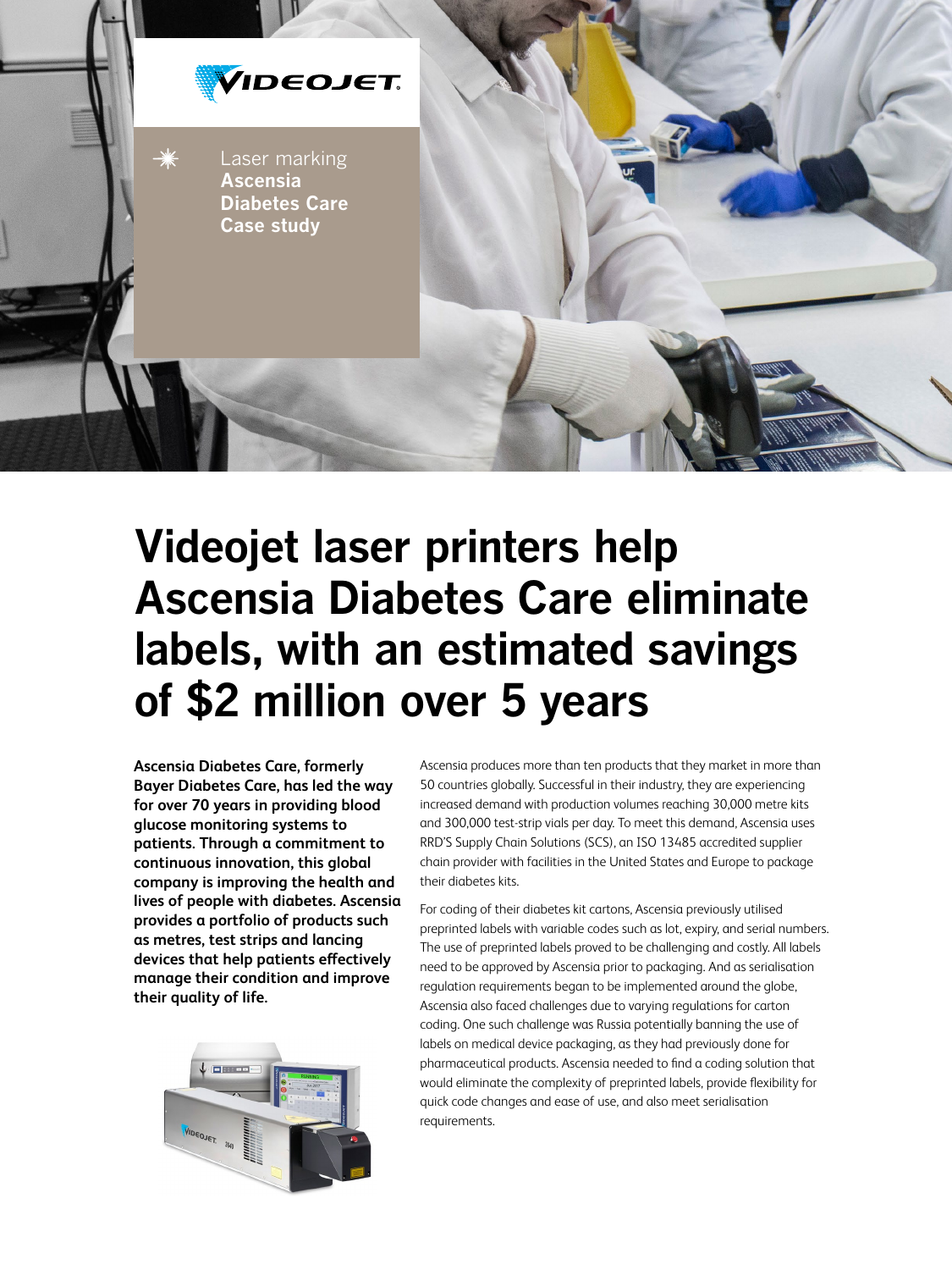

## **Videojet laser printers help Ascensia Diabetes Care eliminate labels, with an estimated savings of \$2 million over 5 years**

**Ascensia Diabetes Care, formerly Bayer Diabetes Care, has led the way for over 70 years in providing blood glucose monitoring systems to patients. Through a commitment to continuous innovation, this global company is improving the health and lives of people with diabetes. Ascensia provides a portfolio of products such as metres, test strips and lancing devices that help patients effectively manage their condition and improve their quality of life.**



Ascensia produces more than ten products that they market in more than 50 countries globally. Successful in their industry, they are experiencing increased demand with production volumes reaching 30,000 metre kits and 300,000 test-strip vials per day. To meet this demand, Ascensia uses RRD'S Supply Chain Solutions (SCS), an ISO 13485 accredited supplier chain provider with facilities in the United States and Europe to package their diabetes kits.

For coding of their diabetes kit cartons, Ascensia previously utilised preprinted labels with variable codes such as lot, expiry, and serial numbers. The use of preprinted labels proved to be challenging and costly. All labels need to be approved by Ascensia prior to packaging. And as serialisation regulation requirements began to be implemented around the globe, Ascensia also faced challenges due to varying regulations for carton coding. One such challenge was Russia potentially banning the use of labels on medical device packaging, as they had previously done for pharmaceutical products. Ascensia needed to find a coding solution that would eliminate the complexity of preprinted labels, provide flexibility for quick code changes and ease of use, and also meet serialisation requirements.